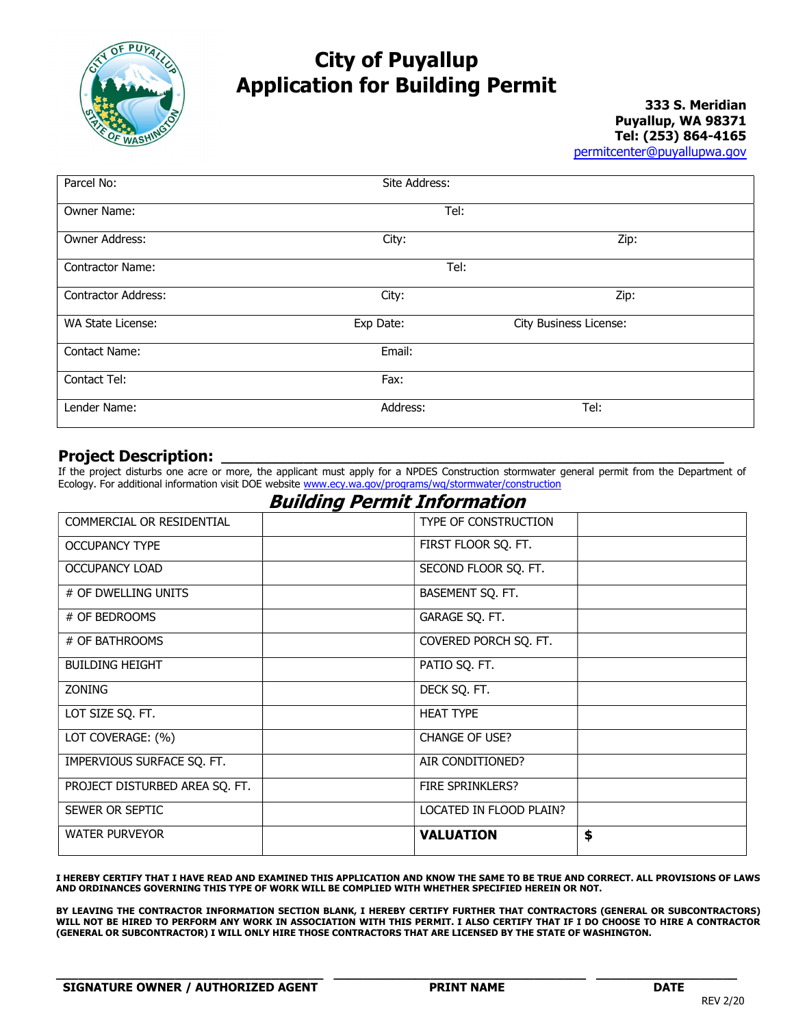

## City of Puyallup Application for Building Permit

333 S. Meridian Puyallup, WA 98371 Tel: (253) 864-4165 permitcenter@puyallupwa.gov

| Parcel No:                 | Site Address: |                        |  |  |  |
|----------------------------|---------------|------------------------|--|--|--|
| Owner Name:                | Tel:          |                        |  |  |  |
| Owner Address:             | City:         | Zip:                   |  |  |  |
| <b>Contractor Name:</b>    | Tel:          |                        |  |  |  |
| <b>Contractor Address:</b> | City:         | Zip:                   |  |  |  |
| WA State License:          | Exp Date:     | City Business License: |  |  |  |
| Contact Name:              | Email:        |                        |  |  |  |
| Contact Tel:               | Fax:          |                        |  |  |  |
| Lender Name:               | Address:      | Tel:                   |  |  |  |

### Project Description:

If the project disturbs one acre or more, the applicant must apply for a NPDES Construction stormwater general permit from the Department of Ecology. For additional information visit DOE website www.ecy.wa.gov/programs/wq/stormwater/construction

### Building Permit Information

| TYPE OF CONSTRUCTION    |
|-------------------------|
| FIRST FLOOR SQ. FT.     |
| SECOND FLOOR SQ. FT.    |
| BASEMENT SQ. FT.        |
| GARAGE SQ. FT.          |
| COVERED PORCH SQ. FT.   |
| PATIO SQ. FT.           |
| DECK SQ. FT.            |
| <b>HEAT TYPE</b>        |
| <b>CHANGE OF USE?</b>   |
| AIR CONDITIONED?        |
| <b>FIRE SPRINKLERS?</b> |
| LOCATED IN FLOOD PLAIN? |
| \$<br><b>VALUATION</b>  |
|                         |

I HEREBY CERTIFY THAT I HAVE READ AND EXAMINED THIS APPLICATION AND KNOW THE SAME TO BE TRUE AND CORRECT. ALL PROVISIONS OF LAWS AND ORDINANCES GOVERNING THIS TYPE OF WORK WILL BE COMPLIED WITH WHETHER SPECIFIED HEREIN OR NOT.

BY LEAVING THE CONTRACTOR INFORMATION SECTION BLANK, I HEREBY CERTIFY FURTHER THAT CONTRACTORS (GENERAL OR SUBCONTRACTORS) WILL NOT BE HIRED TO PERFORM ANY WORK IN ASSOCIATION WITH THIS PERMIT. I ALSO CERTIFY THAT IF I DO CHOOSE TO HIRE A CONTRACTOR (GENERAL OR SUBCONTRACTOR) I WILL ONLY HIRE THOSE CONTRACTORS THAT ARE LICENSED BY THE STATE OF WASHINGTON.

 $\_$  , and the state of the state of the state of the state of the state of the state of the state of the state of the state of the state of the state of the state of the state of the state of the state of the state of the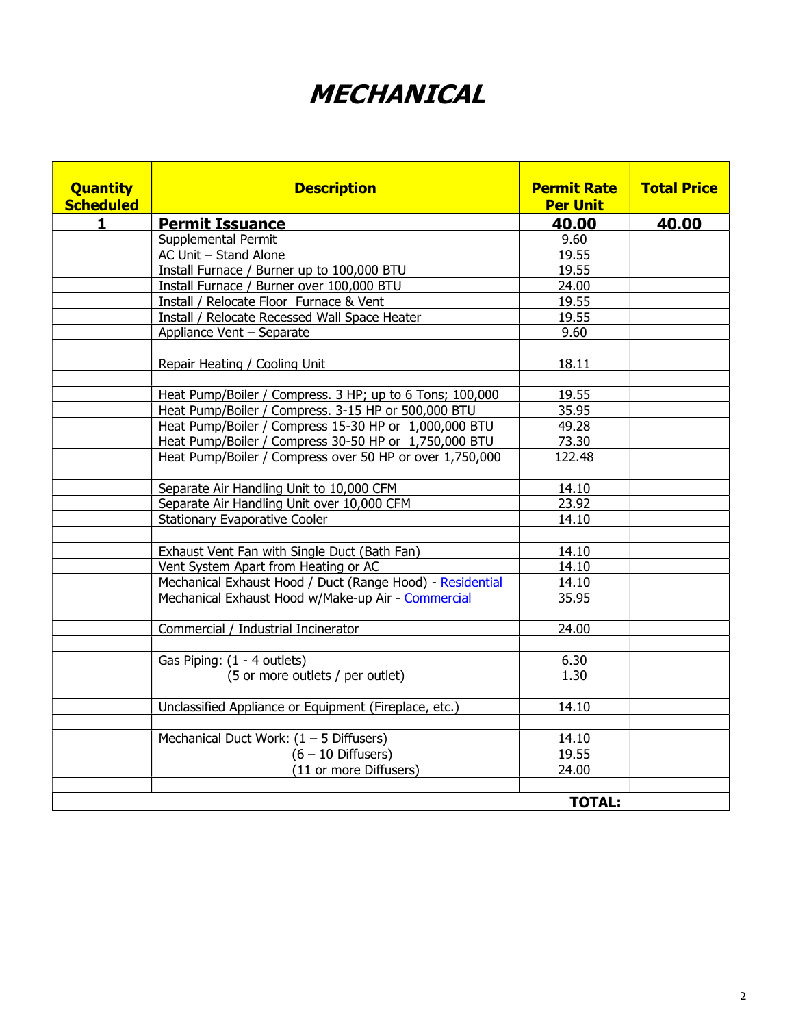# MECHANICAL

| <b>Quantity</b><br><b>Scheduled</b> | <b>Description</b>                                        | <b>Permit Rate</b><br><b>Per Unit</b> | <b>Total Price</b> |
|-------------------------------------|-----------------------------------------------------------|---------------------------------------|--------------------|
| 1.                                  | <b>Permit Issuance</b>                                    | 40.00                                 | 40.00              |
|                                     | Supplemental Permit                                       | 9.60                                  |                    |
|                                     | AC Unit - Stand Alone                                     | 19.55                                 |                    |
|                                     | Install Furnace / Burner up to 100,000 BTU                | 19.55                                 |                    |
|                                     | Install Furnace / Burner over 100,000 BTU                 | 24.00                                 |                    |
|                                     | Install / Relocate Floor Furnace & Vent                   | 19.55                                 |                    |
|                                     | Install / Relocate Recessed Wall Space Heater             |                                       |                    |
|                                     | Appliance Vent - Separate                                 | 9.60                                  |                    |
|                                     |                                                           |                                       |                    |
|                                     | Repair Heating / Cooling Unit                             | 18.11                                 |                    |
|                                     |                                                           |                                       |                    |
|                                     | Heat Pump/Boiler / Compress. 3 HP; up to 6 Tons; 100,000  | 19.55                                 |                    |
|                                     | Heat Pump/Boiler / Compress. 3-15 HP or 500,000 BTU       | 35.95                                 |                    |
|                                     | Heat Pump/Boiler / Compress 15-30 HP or 1,000,000 BTU     | 49.28                                 |                    |
|                                     | Heat Pump/Boiler / Compress 30-50 HP or 1,750,000 BTU     | 73.30                                 |                    |
|                                     | Heat Pump/Boiler / Compress over 50 HP or over 1,750,000  | 122.48                                |                    |
|                                     |                                                           |                                       |                    |
|                                     | Separate Air Handling Unit to 10,000 CFM                  | 14.10                                 |                    |
|                                     | Separate Air Handling Unit over 10,000 CFM                | 23.92                                 |                    |
|                                     | <b>Stationary Evaporative Cooler</b>                      | 14.10                                 |                    |
|                                     |                                                           |                                       |                    |
|                                     | Exhaust Vent Fan with Single Duct (Bath Fan)              | 14.10                                 |                    |
|                                     | Vent System Apart from Heating or AC                      | 14.10                                 |                    |
|                                     | Mechanical Exhaust Hood / Duct (Range Hood) - Residential | 14.10                                 |                    |
|                                     | Mechanical Exhaust Hood w/Make-up Air - Commercial        | 35.95                                 |                    |
|                                     |                                                           |                                       |                    |
|                                     | Commercial / Industrial Incinerator                       | 24.00                                 |                    |
|                                     |                                                           |                                       |                    |
|                                     | Gas Piping: (1 - 4 outlets)                               | 6.30                                  |                    |
|                                     | (5 or more outlets / per outlet)                          | 1.30                                  |                    |
|                                     |                                                           |                                       |                    |
|                                     | Unclassified Appliance or Equipment (Fireplace, etc.)     | 14.10                                 |                    |
|                                     |                                                           |                                       |                    |
|                                     | Mechanical Duct Work: $(1 – 5$ Diffusers)                 | 14.10                                 |                    |
|                                     | $(6 - 10$ Diffusers)                                      | 19.55                                 |                    |
|                                     | (11 or more Diffusers)                                    | 24.00                                 |                    |
|                                     |                                                           |                                       |                    |
|                                     |                                                           | <b>TOTAL:</b>                         |                    |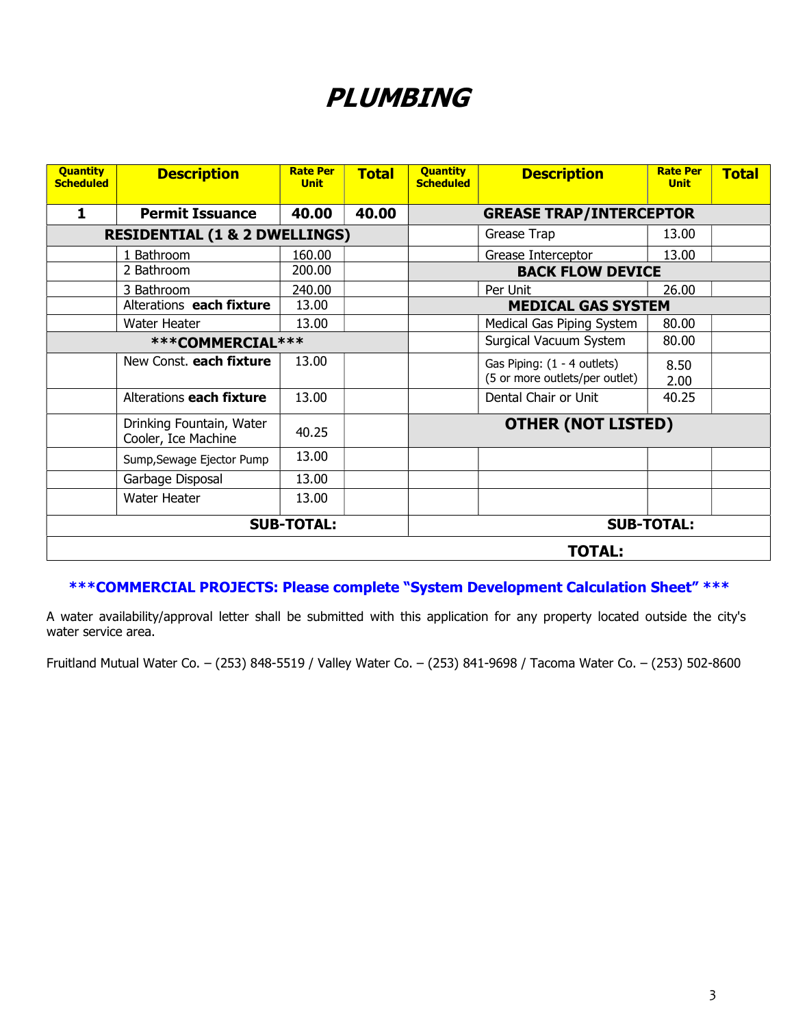## PLUMBING

| <b>Quantity</b><br><b>Scheduled</b>      | <b>Description</b>                              | <b>Rate Per</b><br><b>Unit</b> | <b>Total</b> | <b>Quantity</b><br><b>Scheduled</b> | <b>Description</b>                                            | <b>Rate Per</b><br><b>Unit</b> | <b>Total</b> |  |
|------------------------------------------|-------------------------------------------------|--------------------------------|--------------|-------------------------------------|---------------------------------------------------------------|--------------------------------|--------------|--|
| $\mathbf{1}$                             | <b>Permit Issuance</b>                          | 40.00                          | 40.00        |                                     | <b>GREASE TRAP/INTERCEPTOR</b>                                |                                |              |  |
| <b>RESIDENTIAL (1 &amp; 2 DWELLINGS)</b> |                                                 |                                |              | Grease Trap                         | 13.00                                                         |                                |              |  |
|                                          | 1 Bathroom                                      | 160.00                         |              |                                     | Grease Interceptor                                            | 13.00                          |              |  |
|                                          | 2 Bathroom                                      | 200.00                         |              | <b>BACK FLOW DEVICE</b>             |                                                               |                                |              |  |
|                                          | 3 Bathroom                                      | 240.00                         |              |                                     | Per Unit                                                      | 26.00                          |              |  |
|                                          | Alterations each fixture                        | 13.00                          |              | <b>MEDICAL GAS SYSTEM</b>           |                                                               |                                |              |  |
|                                          | Water Heater                                    | 13.00                          |              |                                     | Medical Gas Piping System                                     | 80.00                          |              |  |
| ***COMMERCIAL***                         |                                                 |                                |              | Surgical Vacuum System              | 80.00                                                         |                                |              |  |
|                                          | New Const. each fixture                         | 13.00                          |              |                                     | Gas Piping: (1 - 4 outlets)<br>(5 or more outlets/per outlet) | 8.50<br>2.00                   |              |  |
|                                          | Alterations each fixture                        | 13.00                          |              |                                     | Dental Chair or Unit                                          | 40.25                          |              |  |
|                                          | Drinking Fountain, Water<br>Cooler, Ice Machine | 40.25                          |              | <b>OTHER (NOT LISTED)</b>           |                                                               |                                |              |  |
|                                          | Sump, Sewage Ejector Pump                       | 13.00                          |              |                                     |                                                               |                                |              |  |
|                                          | Garbage Disposal                                | 13.00                          |              |                                     |                                                               |                                |              |  |
|                                          | Water Heater                                    | 13.00                          |              |                                     |                                                               |                                |              |  |
| <b>SUB-TOTAL:</b>                        |                                                 | <b>SUB-TOTAL:</b>              |              |                                     |                                                               |                                |              |  |
| <b>TOTAL:</b>                            |                                                 |                                |              |                                     |                                                               |                                |              |  |

### \*\*\*COMMERCIAL PROJECTS: Please complete "System Development Calculation Sheet" \*\*\*

A water availability/approval letter shall be submitted with this application for any property located outside the city's water service area.

Fruitland Mutual Water Co. – (253) 848-5519 / Valley Water Co. – (253) 841-9698 / Tacoma Water Co. – (253) 502-8600